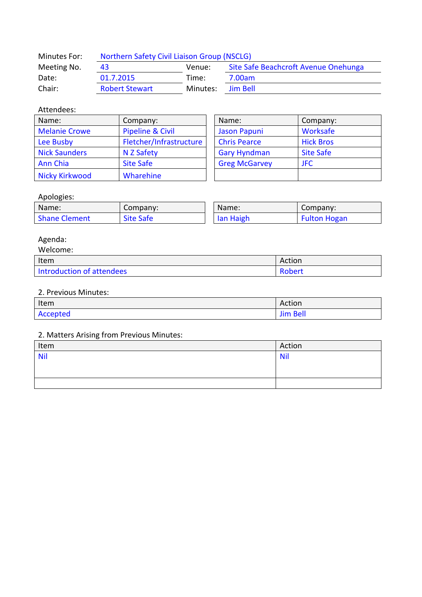| Minutes For: | Northern Safety Civil Liaison Group (NSCLG) |          |                                      |
|--------------|---------------------------------------------|----------|--------------------------------------|
| Meeting No.  | 43                                          | Venue:   | Site Safe Beachcroft Avenue Onehunga |
| Date:        | 01.7.2015                                   | Time:    | 7.00am                               |
| Chair:       | <b>Robert Stewart</b>                       | Minutes: | Jim Bell                             |

### Attendees:

| Name:                 | Company:                | Name:                | Company:         |
|-----------------------|-------------------------|----------------------|------------------|
| <b>Melanie Crowe</b>  | Pipeline & Civil        | <b>Jason Papuni</b>  | Worksafe         |
| Lee Busby             | Fletcher/Infrastructure | <b>Chris Pearce</b>  | <b>Hick Bros</b> |
| <b>Nick Saunders</b>  | N Z Safety              | <b>Gary Hyndman</b>  | <b>Site Safe</b> |
| Ann Chia              | <b>Site Safe</b>        | <b>Greg McGarvey</b> | <b>JFC</b>       |
| <b>Nicky Kirkwood</b> | Wharehine               |                      |                  |

| Name:                | Company:         |  |
|----------------------|------------------|--|
| <b>Jason Papuni</b>  | Worksafe         |  |
| <b>Chris Pearce</b>  | <b>Hick Bros</b> |  |
| <b>Gary Hyndman</b>  | <b>Site Safe</b> |  |
| <b>Greg McGarvey</b> | JFC.             |  |
|                      |                  |  |

### Apologies:

| . .<br>Name:         | Company:         | Name:     | Company:            |
|----------------------|------------------|-----------|---------------------|
| <b>Shane Clement</b> | <b>Site Safe</b> | lan Haigh | <b>Fulton Hogan</b> |

## Agenda:

| Welcome:                  |        |
|---------------------------|--------|
| Item                      | Action |
| Introduction of attendees | Robert |

#### 2. Previous Minutes:

| Item     | Action         |
|----------|----------------|
| Accepted | : Bell<br>---- |

# 2. Matters Arising from Previous Minutes:

| Item       | Action     |
|------------|------------|
| <b>Nil</b> | <b>Nil</b> |
|            |            |
|            |            |
|            |            |